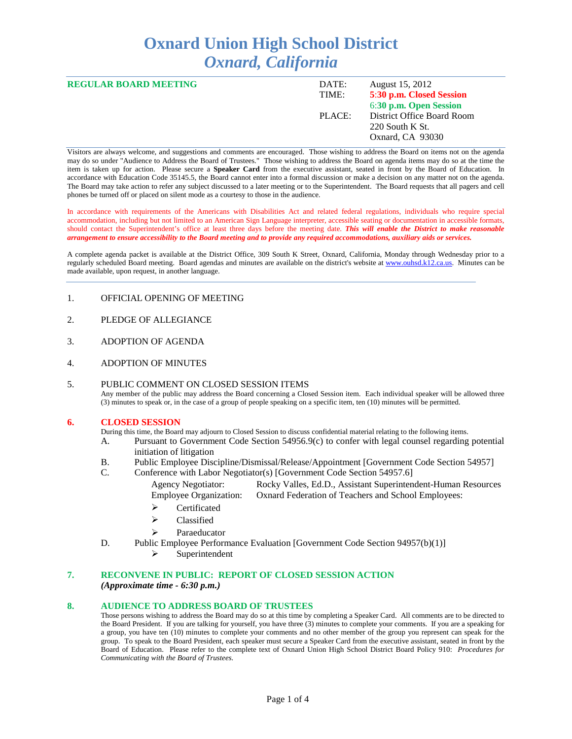# **Oxnard Union High School District** *Oxnard, California*

| <b>REGULAR BOARD MEETING</b> | DATE:<br>TIME: | August 15, 2012<br>5:30 p.m. Closed Session<br>6:30 p.m. Open Session |
|------------------------------|----------------|-----------------------------------------------------------------------|
|                              | PLACE:         | District Office Board Room<br>220 South K St.<br>Oxnard, CA 93030     |

Visitors are always welcome, and suggestions and comments are encouraged. Those wishing to address the Board on items not on the agenda may do so under "Audience to Address the Board of Trustees." Those wishing to address the Board on agenda items may do so at the time the item is taken up for action. Please secure a **Speaker Card** from the executive assistant, seated in front by the Board of Education. In accordance with Education Code 35145.5, the Board cannot enter into a formal discussion or make a decision on any matter not on the agenda. The Board may take action to refer any subject discussed to a later meeting or to the Superintendent. The Board requests that all pagers and cell phones be turned off or placed on silent mode as a courtesy to those in the audience.

In accordance with requirements of the Americans with Disabilities Act and related federal regulations, individuals who require special accommodation, including but not limited to an American Sign Language interpreter, accessible seating or documentation in accessible formats, should contact the Superintendent's office at least three days before the meeting date. *This will enable the District to make reasonable arrangement to ensure accessibility to the Board meeting and to provide any required accommodations, auxiliary aids or services.* 

A complete agenda packet is available at the District Office, 309 South K Street, Oxnard, California, Monday through Wednesday prior to a regularly scheduled Board meeting. Board agendas and minutes are available on the district's website at [www.ouhsd.k12.ca.us.](http://www.ouhsd.k12.ca.us/) Minutes can be made available, upon request, in another language.

#### 1. OFFICIAL OPENING OF MEETING

- 2. PLEDGE OF ALLEGIANCE
- 3. ADOPTION OF AGENDA
- 4. ADOPTION OF MINUTES

#### 5. PUBLIC COMMENT ON CLOSED SESSION ITEMS Any member of the public may address the Board concerning a Closed Session item. Each individual speaker will be allowed three (3) minutes to speak or, in the case of a group of people speaking on a specific item, ten (10) minutes will be permitted.

#### **6. CLOSED SESSION**

During this time, the Board may adjourn to Closed Session to discuss confidential material relating to the following items.

- A. Pursuant to Government Code Section 54956.9(c) to confer with legal counsel regarding potential initiation of litigation
- B. Public Employee Discipline/Dismissal/Release/Appointment [Government Code Section 54957]<br>C. Conference with Labor Negotiator(s) [Government Code Section 54957.6]
- Conference with Labor Negotiator(s) [Government Code Section 54957.6]
	- Agency Negotiator: Rocky Valles, Ed.D., Assistant Superintendent-Human Resources Employee Organization: Oxnard Federation of Teachers and School Employees:
	- > Certificated
	- $\triangleright$  Classified
	- $\triangleright$  Paraeducator
- D. Public Employee Performance Evaluation [Government Code Section 94957(b)(1)]
	- $\triangleright$  Superintendent

## **7. RECONVENE IN PUBLIC: REPORT OF CLOSED SESSION ACTION** *(Approximate time - 6:30 p.m.)*

#### **8. AUDIENCE TO ADDRESS BOARD OF TRUSTEES**

Those persons wishing to address the Board may do so at this time by completing a Speaker Card. All comments are to be directed to the Board President. If you are talking for yourself, you have three (3) minutes to complete your comments. If you are a speaking for a group, you have ten (10) minutes to complete your comments and no other member of the group you represent can speak for the group. To speak to the Board President, each speaker must secure a Speaker Card from the executive assistant, seated in front by the Board of Education. Please refer to the complete text of Oxnard Union High School District Board Policy 910: *Procedures for Communicating with the Board of Trustees.*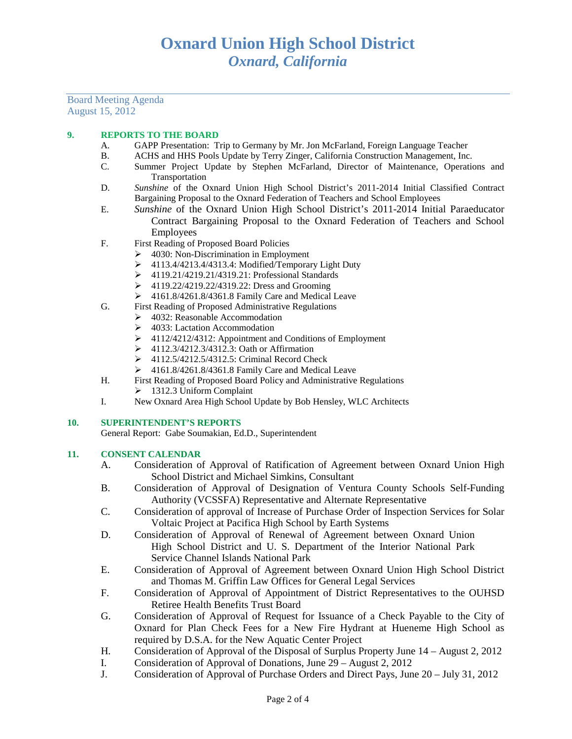Board Meeting Agenda August 15, 2012

## **9. REPORTS TO THE BOARD**

- A. GAPP Presentation: Trip to Germany by Mr. Jon McFarland, Foreign Language Teacher
- B. ACHS and HHS Pools Update by Terry Zinger, California Construction Management, Inc.<br>C. Summer Project Update by Stephen McFarland. Director of Maintenance. Operation
- Summer Project Update by Stephen McFarland, Director of Maintenance, Operations and Transportation
- D. *Sunshine* of the Oxnard Union High School District's 2011-2014 Initial Classified Contract Bargaining Proposal to the Oxnard Federation of Teachers and School Employees
- E. *Sunshine* of the Oxnard Union High School District's 2011-2014 Initial Paraeducator Contract Bargaining Proposal to the Oxnard Federation of Teachers and School Employees
- F. First Reading of Proposed Board Policies
	- $\geq$  4030: Non-Discrimination in Employment
	- 4113.4/4213.4/4313.4: Modified/Temporary Light Duty
	- 4119.21/4219.21/4319.21: Professional Standards
	- 4119.22/4219.22/4319.22: Dress and Grooming
	- $\geq$  4161.8/4261.8/4361.8 Family Care and Medical Leave
- G. First Reading of Proposed Administrative Regulations
	- 4032: Reasonable Accommodation
	- $\triangleright$  4033: Lactation Accommodation
	- ▶ 4112/4212/4312: Appointment and Conditions of Employment
	- $\triangleright$  4112.3/4212.3/4312.3: Oath or Affirmation
	- $\geq$  4112.5/4212.5/4312.5: Criminal Record Check<br> $\geq$  4161.8/4261.8/4361.8 Family Care and Medica
	- 4161.8/4261.8/4361.8 Family Care and Medical Leave
- H. First Reading of Proposed Board Policy and Administrative Regulations
	- $\geq 1312.3$  Uniform Complaint
- I. New Oxnard Area High School Update by Bob Hensley, WLC Architects

#### **10. SUPERINTENDENT'S REPORTS**

General Report: Gabe Soumakian, Ed.D., Superintendent

## **11. CONSENT CALENDAR**

- A. Consideration of Approval of Ratification of Agreement between Oxnard Union High School District and Michael Simkins, Consultant
- B. Consideration of Approval of Designation of Ventura County Schools Self-Funding Authority (VCSSFA) Representative and Alternate Representative
- C. Consideration of approval of Increase of Purchase Order of Inspection Services for Solar Voltaic Project at Pacifica High School by Earth Systems
- D. Consideration of Approval of Renewal of Agreement between Oxnard Union High School District and U. S. Department of the Interior National Park Service Channel Islands National Park
- E. Consideration of Approval of Agreement between Oxnard Union High School District and Thomas M. Griffin Law Offices for General Legal Services
- F. Consideration of Approval of Appointment of District Representatives to the OUHSD Retiree Health Benefits Trust Board
- G. Consideration of Approval of Request for Issuance of a Check Payable to the City of Oxnard for Plan Check Fees for a New Fire Hydrant at Hueneme High School as required by D.S.A. for the New Aquatic Center Project
- H. Consideration of Approval of the Disposal of Surplus Property June 14 August 2, 2012
- I. Consideration of Approval of Donations, June 29 August 2, 2012
- J. Consideration of Approval of Purchase Orders and Direct Pays, June 20 July 31, 2012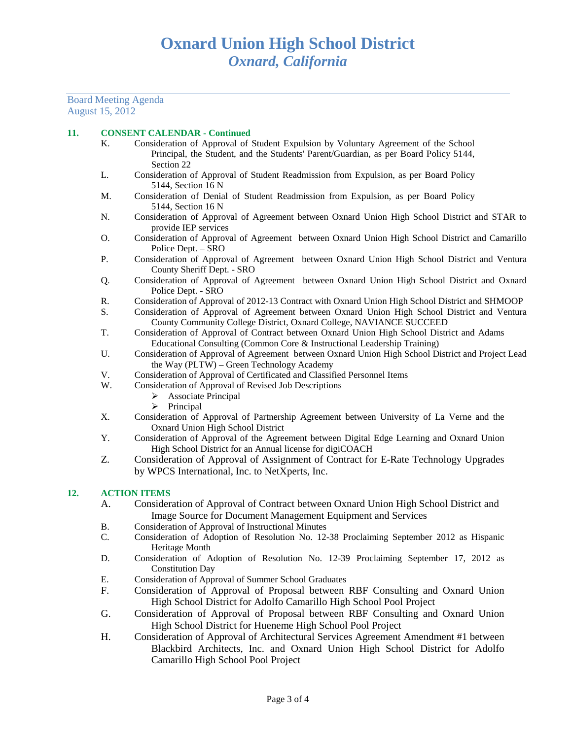Board Meeting Agenda August 15, 2012

## **11. CONSENT CALENDAR - Continued**

- K. Consideration of Approval of Student Expulsion by Voluntary Agreement of the School Principal, the Student, and the Students' Parent/Guardian, as per Board Policy 5144, Section 22
- L. Consideration of Approval of Student Readmission from Expulsion, as per Board Policy 5144, Section 16 N
- M. Consideration of Denial of Student Readmission from Expulsion, as per Board Policy 5144, Section 16 N
- N. Consideration of Approval of Agreement between Oxnard Union High School District and STAR to provide IEP services
- O. Consideration of Approval of Agreement between Oxnard Union High School District and Camarillo Police Dept. – SRO
- P. Consideration of Approval of Agreement between Oxnard Union High School District and Ventura County Sheriff Dept. - SRO
- Q. Consideration of Approval of Agreement between Oxnard Union High School District and Oxnard Police Dept. - SRO
- R. Consideration of Approval of 2012-13 Contract with Oxnard Union High School District and SHMOOP
- S. Consideration of Approval of Agreement between Oxnard Union High School District and Ventura County Community College District, Oxnard College, NAVIANCE SUCCEED
- T. Consideration of Approval of Contract between Oxnard Union High School District and Adams Educational Consulting (Common Core & Instructional Leadership Training)
- U. Consideration of Approval of Agreement between Oxnard Union High School District and Project Lead the Way (PLTW) – Green Technology Academy
- V. Consideration of Approval of Certificated and Classified Personnel Items W. Consideration of Approval of Revised Job Descriptions
	- Consideration of Approval of Revised Job Descriptions
		- $\triangleright$  Associate Principal
		- $\triangleright$  Principal
- X. Consideration of Approval of Partnership Agreement between University of La Verne and the Oxnard Union High School District
- Y. Consideration of Approval of the Agreement between Digital Edge Learning and Oxnard Union High School District for an Annual license for digiCOACH
- Z. Consideration of Approval of Assignment of Contract for E-Rate Technology Upgrades by WPCS International, Inc. to NetXperts, Inc.

#### **12. ACTION ITEMS**

- A. Consideration of Approval of Contract between Oxnard Union High School District and Image Source for Document Management Equipment and Services
- B. Consideration of Approval of Instructional Minutes
- C. Consideration of Adoption of Resolution No. 12-38 Proclaiming September 2012 as Hispanic Heritage Month
- D. Consideration of Adoption of Resolution No. 12-39 Proclaiming September 17, 2012 as Constitution Day
- E. Consideration of Approval of Summer School Graduates<br>F. Consideration of Approval of Proposal between
- F. Consideration of Approval of Proposal between RBF Consulting and Oxnard Union High School District for Adolfo Camarillo High School Pool Project
- G. Consideration of Approval of Proposal between RBF Consulting and Oxnard Union High School District for Hueneme High School Pool Project
- H. Consideration of Approval of Architectural Services Agreement Amendment #1 between Blackbird Architects, Inc. and Oxnard Union High School District for Adolfo Camarillo High School Pool Project